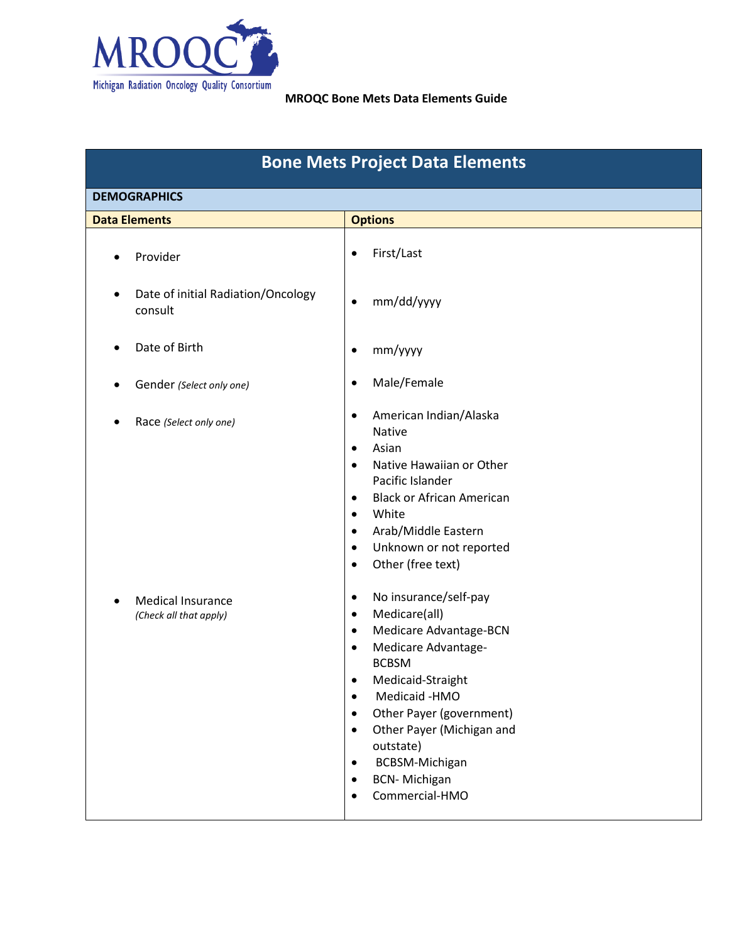

| <b>Bone Mets Project Data Elements</b>                     |                                                                                                                                                                                                                                                                                                                                                                                                                  |  |  |  |  |
|------------------------------------------------------------|------------------------------------------------------------------------------------------------------------------------------------------------------------------------------------------------------------------------------------------------------------------------------------------------------------------------------------------------------------------------------------------------------------------|--|--|--|--|
| <b>DEMOGRAPHICS</b>                                        |                                                                                                                                                                                                                                                                                                                                                                                                                  |  |  |  |  |
| <b>Data Elements</b>                                       | <b>Options</b>                                                                                                                                                                                                                                                                                                                                                                                                   |  |  |  |  |
| Provider                                                   | First/Last<br>$\bullet$                                                                                                                                                                                                                                                                                                                                                                                          |  |  |  |  |
| Date of initial Radiation/Oncology<br>$\bullet$<br>consult | mm/dd/yyyy<br>$\bullet$                                                                                                                                                                                                                                                                                                                                                                                          |  |  |  |  |
| Date of Birth                                              | mm/yyyy<br>$\bullet$                                                                                                                                                                                                                                                                                                                                                                                             |  |  |  |  |
| Gender (Select only one)                                   | Male/Female<br>$\bullet$                                                                                                                                                                                                                                                                                                                                                                                         |  |  |  |  |
| Race (Select only one)                                     | American Indian/Alaska<br>$\bullet$<br>Native<br>Asian<br>$\bullet$<br>Native Hawaiian or Other<br>$\bullet$<br>Pacific Islander<br><b>Black or African American</b><br>$\bullet$<br>White<br>$\bullet$<br>Arab/Middle Eastern<br>$\bullet$<br>Unknown or not reported<br>$\bullet$<br>Other (free text)<br>$\bullet$                                                                                            |  |  |  |  |
| <b>Medical Insurance</b><br>(Check all that apply)         | No insurance/self-pay<br>$\bullet$<br>Medicare(all)<br>$\bullet$<br>Medicare Advantage-BCN<br>$\bullet$<br>Medicare Advantage-<br>$\bullet$<br><b>BCBSM</b><br>Medicaid-Straight<br>Medicaid -HMO<br>$\bullet$<br>Other Payer (government)<br>$\bullet$<br>Other Payer (Michigan and<br>$\bullet$<br>outstate)<br>BCBSM-Michigan<br>$\bullet$<br><b>BCN-Michigan</b><br>$\bullet$<br>Commercial-HMO<br>$\bullet$ |  |  |  |  |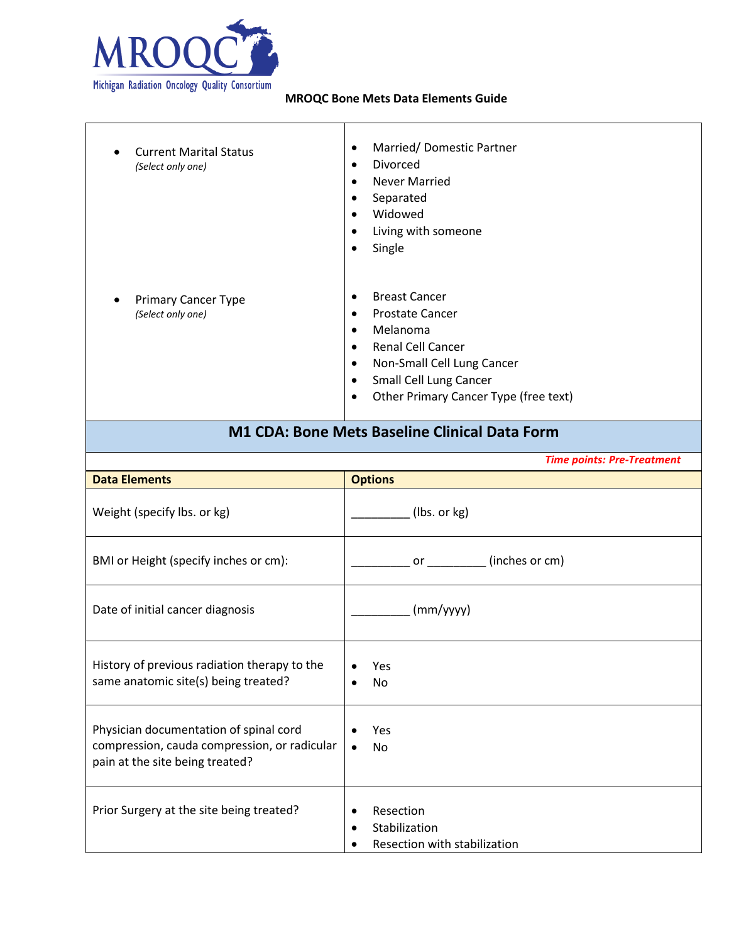

| <b>Current Marital Status</b><br>(Select only one) | Married/Domestic Partner<br>$\bullet$<br>Divorced<br>$\bullet$<br><b>Never Married</b><br>$\bullet$<br>Separated<br>$\bullet$<br>Widowed<br>$\bullet$<br>Living with someone<br>$\bullet$<br>Single<br>$\bullet$                                                                   |
|----------------------------------------------------|------------------------------------------------------------------------------------------------------------------------------------------------------------------------------------------------------------------------------------------------------------------------------------|
| <b>Primary Cancer Type</b><br>(Select only one)    | <b>Breast Cancer</b><br>$\bullet$<br><b>Prostate Cancer</b><br>$\bullet$<br>Melanoma<br>$\bullet$<br><b>Renal Cell Cancer</b><br>$\bullet$<br>Non-Small Cell Lung Cancer<br>$\bullet$<br>Small Cell Lung Cancer<br>$\bullet$<br>Other Primary Cancer Type (free text)<br>$\bullet$ |

# **M1 CDA: Bone Mets Baseline Clinical Data Form**

*Time points: Pre-Treatment*

| <b>Data Elements</b>                                                                                                      | <b>Options</b>                                                                       |
|---------------------------------------------------------------------------------------------------------------------------|--------------------------------------------------------------------------------------|
| Weight (specify lbs. or kg)                                                                                               | (lbs. or kg)                                                                         |
| BMI or Height (specify inches or cm):                                                                                     | or (inches or cm)                                                                    |
| Date of initial cancer diagnosis                                                                                          | (mm/yyyy)                                                                            |
| History of previous radiation therapy to the<br>same anatomic site(s) being treated?                                      | Yes<br>No.                                                                           |
| Physician documentation of spinal cord<br>compression, cauda compression, or radicular<br>pain at the site being treated? | Yes<br><b>No</b><br>$\bullet$                                                        |
| Prior Surgery at the site being treated?                                                                                  | Resection<br>$\bullet$<br>Stabilization<br>$\bullet$<br>Resection with stabilization |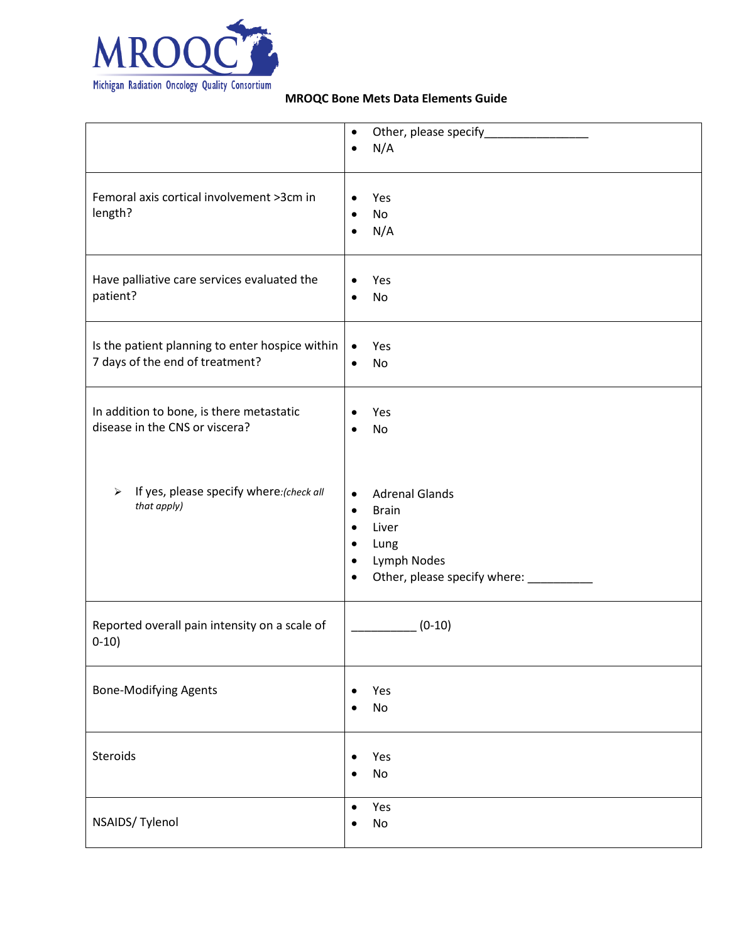

|                                                                                    | $\bullet$                                                                                                                                                                                      |
|------------------------------------------------------------------------------------|------------------------------------------------------------------------------------------------------------------------------------------------------------------------------------------------|
|                                                                                    | N/A<br>$\bullet$                                                                                                                                                                               |
| Femoral axis cortical involvement >3cm in<br>length?                               | Yes<br>$\bullet$<br>No<br>$\bullet$<br>N/A<br>$\bullet$                                                                                                                                        |
| Have palliative care services evaluated the<br>patient?                            | Yes<br>٠<br>No<br>$\bullet$                                                                                                                                                                    |
| Is the patient planning to enter hospice within<br>7 days of the end of treatment? | Yes<br>$\bullet$<br>No<br>$\bullet$                                                                                                                                                            |
| In addition to bone, is there metastatic<br>disease in the CNS or viscera?         | Yes<br>$\bullet$<br>No<br>$\bullet$                                                                                                                                                            |
| If yes, please specify where: (check all<br>$\blacktriangleright$<br>that apply)   | <b>Adrenal Glands</b><br>$\bullet$<br><b>Brain</b><br>$\bullet$<br>Liver<br>$\bullet$<br>Lung<br>$\bullet$<br>Lymph Nodes<br>$\bullet$<br>Other, please specify where: __________<br>$\bullet$ |
| Reported overall pain intensity on a scale of<br>$0-10)$                           | $(0-10)$                                                                                                                                                                                       |
| <b>Bone-Modifying Agents</b>                                                       | Yes<br>$\bullet$<br>No<br>Ċ                                                                                                                                                                    |
| Steroids                                                                           | Yes<br>$\bullet$<br>No                                                                                                                                                                         |
| NSAIDS/ Tylenol                                                                    | Yes<br>$\bullet$<br>No<br>$\bullet$                                                                                                                                                            |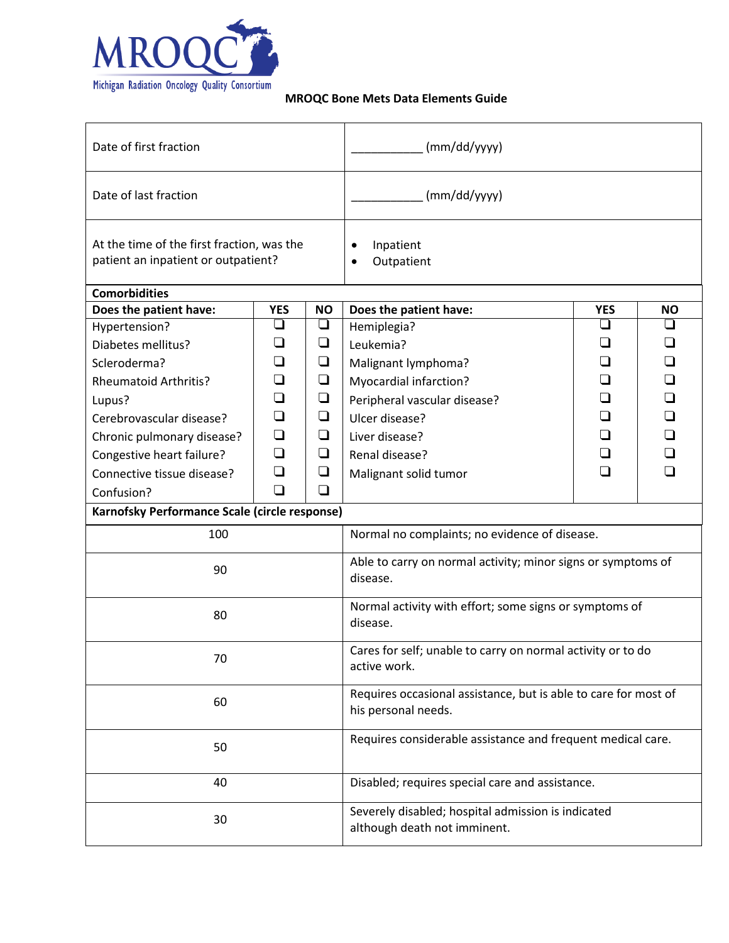

| Date of first fraction                                                            |            |                                                   | (mm/dd/yyyy)                                                                           |            |           |  |
|-----------------------------------------------------------------------------------|------------|---------------------------------------------------|----------------------------------------------------------------------------------------|------------|-----------|--|
| Date of last fraction                                                             |            |                                                   | (mm/dd/yyyy)                                                                           |            |           |  |
| At the time of the first fraction, was the<br>patient an inpatient or outpatient? |            | Inpatient<br>$\bullet$<br>Outpatient<br>$\bullet$ |                                                                                        |            |           |  |
| <b>Comorbidities</b>                                                              |            |                                                   |                                                                                        |            |           |  |
| Does the patient have:                                                            | <b>YES</b> | <b>NO</b>                                         | Does the patient have:                                                                 | <b>YES</b> | <b>NO</b> |  |
| Hypertension?                                                                     | ❏          | ❏                                                 | Hemiplegia?                                                                            | ❏          | ❏         |  |
| Diabetes mellitus?                                                                | ❏          | ❏                                                 | Leukemia?                                                                              | ❏          | $\Box$    |  |
| Scleroderma?                                                                      | ❏          | $\Box$                                            | Malignant lymphoma?                                                                    | ❏          | ❏         |  |
| <b>Rheumatoid Arthritis?</b>                                                      | ❏          | ❏                                                 | Myocardial infarction?                                                                 | ❏          | ❏         |  |
| Lupus?                                                                            | $\Box$     | $\Box$                                            | Peripheral vascular disease?                                                           | ❏          | □         |  |
| Cerebrovascular disease?                                                          | ❏          | $\Box$                                            | Ulcer disease?                                                                         | ❏          | ❏         |  |
| Chronic pulmonary disease?                                                        | ❏          | Q                                                 | Liver disease?                                                                         | ❏          | ❏         |  |
| Congestive heart failure?                                                         | ❏          | $\Box$                                            | Renal disease?                                                                         | ❏          | ❏         |  |
| Connective tissue disease?                                                        | $\Box$     | ❏                                                 | Malignant solid tumor                                                                  | □          | ∩         |  |
| Confusion?                                                                        | ❏          | ❏                                                 |                                                                                        |            |           |  |
| Karnofsky Performance Scale (circle response)                                     |            |                                                   |                                                                                        |            |           |  |
| 100                                                                               |            |                                                   | Normal no complaints; no evidence of disease.                                          |            |           |  |
| 90                                                                                |            |                                                   | Able to carry on normal activity; minor signs or symptoms of<br>disease.               |            |           |  |
| 80                                                                                |            |                                                   | Normal activity with effort; some signs or symptoms of<br>disease.                     |            |           |  |
| 70                                                                                |            |                                                   | Cares for self; unable to carry on normal activity or to do<br>active work.            |            |           |  |
| 60                                                                                |            |                                                   | Requires occasional assistance, but is able to care for most of<br>his personal needs. |            |           |  |
| 50                                                                                |            |                                                   | Requires considerable assistance and frequent medical care.                            |            |           |  |
| 40                                                                                |            |                                                   | Disabled; requires special care and assistance.                                        |            |           |  |
| 30                                                                                |            |                                                   | Severely disabled; hospital admission is indicated<br>although death not imminent.     |            |           |  |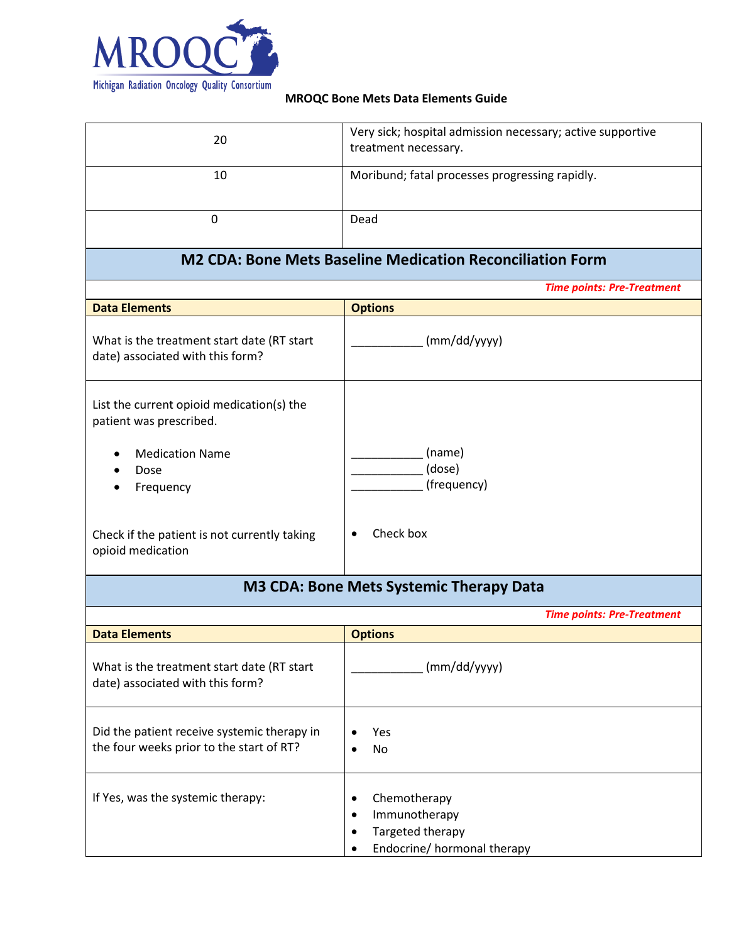

| 20                                                                             | Very sick; hospital admission necessary; active supportive<br>treatment necessary. |
|--------------------------------------------------------------------------------|------------------------------------------------------------------------------------|
| 10                                                                             | Moribund; fatal processes progressing rapidly.                                     |
| $\overline{0}$                                                                 | Dead                                                                               |
|                                                                                | <b>M2 CDA: Bone Mets Baseline Medication Reconciliation Form</b>                   |
|                                                                                | <b>Time points: Pre-Treatment</b>                                                  |
| <b>Data Elements</b>                                                           | <b>Options</b>                                                                     |
| What is the treatment start date (RT start<br>date) associated with this form? | (mm/dd/yyyy)                                                                       |
| List the current opioid medication(s) the<br>patient was prescribed.           |                                                                                    |
| <b>Medication Name</b>                                                         | (name)                                                                             |
| Dose                                                                           | (dose)<br>(frequency)                                                              |
| Frequency                                                                      |                                                                                    |
| Check if the patient is not currently taking<br>opioid medication              | Check box<br>$\bullet$                                                             |
|                                                                                | M3 CDA: Bone Mets Systemic Therapy Data                                            |
|                                                                                | <b>Time points: Pre-Treatment</b>                                                  |
| <b>Data Elements</b>                                                           | <b>Options</b>                                                                     |
| What is the treatment start date (RT start<br>date) associated with this form? | (mm/dd/yyyy)                                                                       |
|                                                                                |                                                                                    |

| Did the patient receive systemic therapy in<br>the four weeks prior to the start of RT? |   | Yes<br>No                                                                        |
|-----------------------------------------------------------------------------------------|---|----------------------------------------------------------------------------------|
| If Yes, was the systemic therapy:                                                       | ٠ | Chemotherapy<br>Immunotherapy<br>Targeted therapy<br>Endocrine/ hormonal therapy |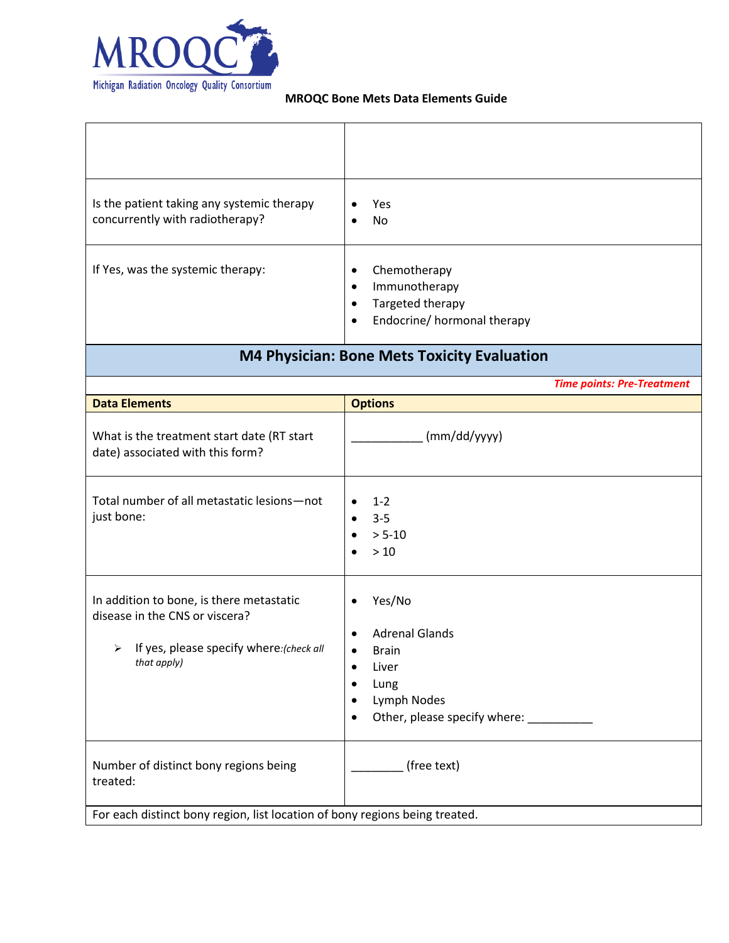

| Is the patient taking any systemic therapy<br>concurrently with radiotherapy?                                                           | Yes<br>$\bullet$<br>No<br>$\bullet$                                                                                                                                                   |
|-----------------------------------------------------------------------------------------------------------------------------------------|---------------------------------------------------------------------------------------------------------------------------------------------------------------------------------------|
| If Yes, was the systemic therapy:                                                                                                       | Chemotherapy<br>$\bullet$<br>Immunotherapy<br>$\bullet$<br>Targeted therapy<br>$\bullet$<br>Endocrine/ hormonal therapy<br>$\bullet$                                                  |
|                                                                                                                                         | <b>M4 Physician: Bone Mets Toxicity Evaluation</b>                                                                                                                                    |
|                                                                                                                                         | <b>Time points: Pre-Treatment</b>                                                                                                                                                     |
| <b>Data Elements</b>                                                                                                                    | <b>Options</b>                                                                                                                                                                        |
| What is the treatment start date (RT start<br>date) associated with this form?                                                          | (mm/dd/yyyy)                                                                                                                                                                          |
| Total number of all metastatic lesions-not<br>just bone:                                                                                | $1 - 2$<br>$3 - 5$<br>$> 5 - 10$<br>$>10$                                                                                                                                             |
| In addition to bone, is there metastatic<br>disease in the CNS or viscera?<br>> If yes, please specify where: (check all<br>that apply) | Yes/No<br>$\bullet$<br><b>Adrenal Glands</b><br>$\bullet$<br><b>Brain</b><br>$\bullet$<br>Liver<br>$\bullet$<br>Lung<br>Lymph Nodes<br>٠<br>Other, please specify where:<br>$\bullet$ |
| Number of distinct bony regions being<br>treated:                                                                                       | (free text)                                                                                                                                                                           |
| For each distinct bony region, list location of bony regions being treated.                                                             |                                                                                                                                                                                       |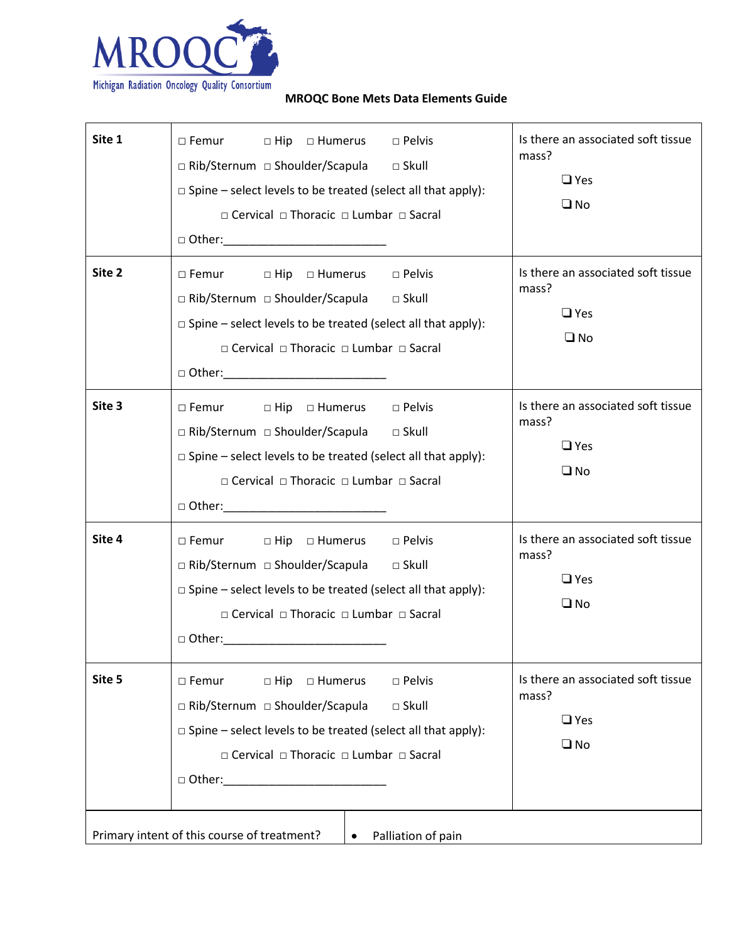

|        | $\square$ Spine – select levels to be treated (select all that apply):<br>□ Cervical □ Thoracic □ Lumbar □ Sacral                                                                                                                                     | $\Box$ Yes<br>$\square$ No                                                |
|--------|-------------------------------------------------------------------------------------------------------------------------------------------------------------------------------------------------------------------------------------------------------|---------------------------------------------------------------------------|
| Site 2 | □ Femur □ Hip □ Humerus □ Pelvis<br>□ Rib/Sternum □ Shoulder/Scapula □ Skull<br>$\square$ Spine – select levels to be treated (select all that apply):<br>□ Cervical □ Thoracic □ Lumbar □ Sacral<br>□ Other:____________________________             | Is there an associated soft tissue<br>mass?<br>$\Box$ Yes<br>$\square$ No |
| Site 3 | $\square$ Femur<br>□ Hip □ Humerus □ Pelvis<br>□ Rib/Sternum □ Shoulder/Scapula<br>$\square$ Skull<br>$\square$ Spine – select levels to be treated (select all that apply):<br>□ Cervical □ Thoracic □ Lumbar □ Sacral<br>$\square$ Other: $\square$ | Is there an associated soft tissue<br>mass?<br>$\Box$ Yes<br>$\square$ No |
| Site 4 | □ Femur □ Hip □ Humerus □ Pelvis<br>□ Rib/Sternum □ Shoulder/Scapula<br>$\Box$ Skull<br>$\square$ Spine – select levels to be treated (select all that apply):<br>□ Cervical □ Thoracic □ Lumbar □ Sacral<br>$\Box$ Other: $\Box$                     | Is there an associated soft tissue<br>mass?<br>$\Box$ Yes<br>$\square$ No |
| Site 5 | □ Pelvis<br>□ Femur<br>$\Box$ Hip $\Box$ Humerus<br>□ Rib/Sternum □ Shoulder/Scapula<br>$\square$ Skull<br>$\square$ Spine – select levels to be treated (select all that apply):<br>□ Cervical □ Thoracic □ Lumbar □ Sacral                          | Is there an associated soft tissue<br>mass?<br>$\Box$ Yes<br>$\square$ No |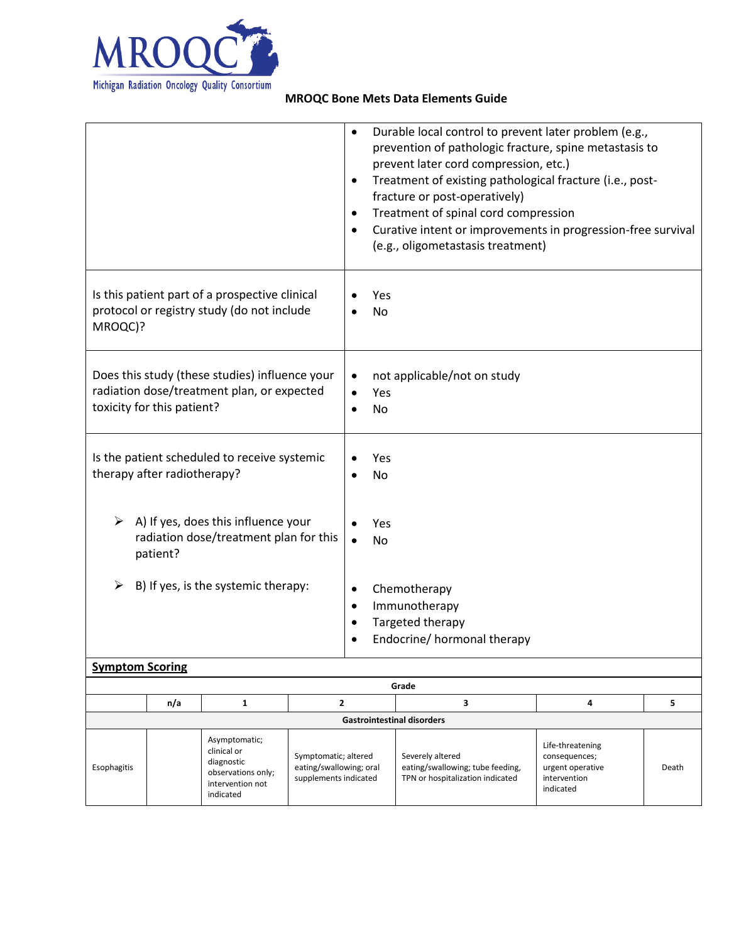

|                                                                                                                            | Durable local control to prevent later problem (e.g.,<br>$\bullet$<br>prevention of pathologic fracture, spine metastasis to<br>prevent later cord compression, etc.)<br>Treatment of existing pathological fracture (i.e., post-<br>$\bullet$<br>fracture or post-operatively)<br>Treatment of spinal cord compression<br>$\bullet$<br>Curative intent or improvements in progression-free survival<br>$\bullet$<br>(e.g., oligometastasis treatment) |
|----------------------------------------------------------------------------------------------------------------------------|--------------------------------------------------------------------------------------------------------------------------------------------------------------------------------------------------------------------------------------------------------------------------------------------------------------------------------------------------------------------------------------------------------------------------------------------------------|
| Is this patient part of a prospective clinical<br>protocol or registry study (do not include<br>MROQC)?                    | Yes<br><b>No</b>                                                                                                                                                                                                                                                                                                                                                                                                                                       |
| Does this study (these studies) influence your<br>radiation dose/treatment plan, or expected<br>toxicity for this patient? | not applicable/not on study<br>$\bullet$<br>Yes<br>$\bullet$<br><b>No</b>                                                                                                                                                                                                                                                                                                                                                                              |
| Is the patient scheduled to receive systemic<br>therapy after radiotherapy?                                                | Yes<br><b>No</b>                                                                                                                                                                                                                                                                                                                                                                                                                                       |
| A) If yes, does this influence your<br>radiation dose/treatment plan for this<br>patient?                                  | Yes<br><b>No</b><br>$\bullet$                                                                                                                                                                                                                                                                                                                                                                                                                          |
| B) If yes, is the systemic therapy:<br>➤                                                                                   | Chemotherapy<br>$\bullet$<br>Immunotherapy<br>$\bullet$<br>Targeted therapy<br>$\bullet$<br>Endocrine/ hormonal therapy<br>$\bullet$                                                                                                                                                                                                                                                                                                                   |
| <b>Symptom Scoring</b>                                                                                                     |                                                                                                                                                                                                                                                                                                                                                                                                                                                        |
|                                                                                                                            | Grade                                                                                                                                                                                                                                                                                                                                                                                                                                                  |

|             |                                   |                                                                                                   |                                                                          | uidue                                                                                    |                                                                                    |       |  |  |  |
|-------------|-----------------------------------|---------------------------------------------------------------------------------------------------|--------------------------------------------------------------------------|------------------------------------------------------------------------------------------|------------------------------------------------------------------------------------|-------|--|--|--|
|             | n/a                               |                                                                                                   |                                                                          |                                                                                          |                                                                                    |       |  |  |  |
|             | <b>Gastrointestinal disorders</b> |                                                                                                   |                                                                          |                                                                                          |                                                                                    |       |  |  |  |
| Esophagitis |                                   | Asymptomatic;<br>clinical or<br>diagnostic<br>observations only;<br>intervention not<br>indicated | Symptomatic; altered<br>eating/swallowing; oral<br>supplements indicated | Severely altered<br>eating/swallowing; tube feeding,<br>TPN or hospitalization indicated | Life-threatening<br>consequences;<br>urgent operative<br>intervention<br>indicated | Death |  |  |  |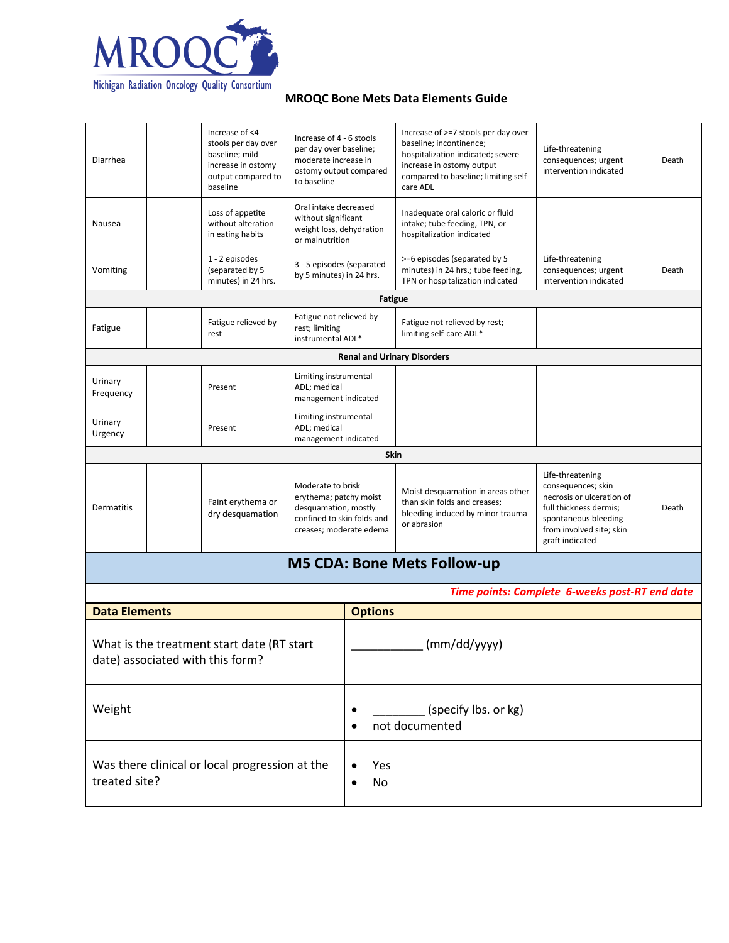

Was there clinical or local progression at the

treated site?

## **MROQC Bone Mets Data Elements Guide**

| Diarrhea                                                                       | Increase of <4<br>stools per day over<br>baseline; mild<br>increase in ostomy<br>output compared to<br>baseline | Increase of 4 - 6 stools<br>per day over baseline;<br>moderate increase in<br>ostomy output compared<br>to baseline          |                                        | Increase of >=7 stools per day over<br>baseline; incontinence;<br>hospitalization indicated; severe<br>increase in ostomy output<br>compared to baseline; limiting self-<br>care ADL | Life-threatening<br>consequences; urgent<br>intervention indicated                                                                                                   | Death |
|--------------------------------------------------------------------------------|-----------------------------------------------------------------------------------------------------------------|------------------------------------------------------------------------------------------------------------------------------|----------------------------------------|--------------------------------------------------------------------------------------------------------------------------------------------------------------------------------------|----------------------------------------------------------------------------------------------------------------------------------------------------------------------|-------|
| Nausea                                                                         | Loss of appetite<br>without alteration<br>in eating habits                                                      | Oral intake decreased<br>without significant<br>weight loss, dehydration<br>or malnutrition                                  |                                        | Inadequate oral caloric or fluid<br>intake; tube feeding, TPN, or<br>hospitalization indicated                                                                                       |                                                                                                                                                                      |       |
| Vomiting                                                                       | 1 - 2 episodes<br>(separated by 5<br>minutes) in 24 hrs.                                                        | 3 - 5 episodes (separated<br>by 5 minutes) in 24 hrs.                                                                        |                                        | >=6 episodes (separated by 5<br>minutes) in 24 hrs.; tube feeding,<br>TPN or hospitalization indicated                                                                               | Life-threatening<br>consequences; urgent<br>intervention indicated                                                                                                   | Death |
|                                                                                |                                                                                                                 |                                                                                                                              | <b>Fatigue</b>                         |                                                                                                                                                                                      |                                                                                                                                                                      |       |
| Fatigue                                                                        | Fatigue relieved by<br>rest                                                                                     | Fatigue not relieved by<br>rest; limiting<br>instrumental ADL*                                                               |                                        | Fatigue not relieved by rest;<br>limiting self-care ADL*                                                                                                                             |                                                                                                                                                                      |       |
|                                                                                |                                                                                                                 |                                                                                                                              |                                        | <b>Renal and Urinary Disorders</b>                                                                                                                                                   |                                                                                                                                                                      |       |
| Urinary<br>Frequency                                                           | Present                                                                                                         | Limiting instrumental<br>ADL; medical<br>management indicated                                                                |                                        |                                                                                                                                                                                      |                                                                                                                                                                      |       |
| Urinary<br>Urgency                                                             | Present                                                                                                         | Limiting instrumental<br>ADL; medical<br>management indicated                                                                |                                        |                                                                                                                                                                                      |                                                                                                                                                                      |       |
| <b>Skin</b>                                                                    |                                                                                                                 |                                                                                                                              |                                        |                                                                                                                                                                                      |                                                                                                                                                                      |       |
| Dermatitis                                                                     | Faint erythema or<br>dry desquamation                                                                           | Moderate to brisk<br>erythema; patchy moist<br>desquamation, mostly<br>confined to skin folds and<br>creases; moderate edema |                                        | Moist desquamation in areas other<br>than skin folds and creases;<br>bleeding induced by minor trauma<br>or abrasion                                                                 | Life-threatening<br>consequences; skin<br>necrosis or ulceration of<br>full thickness dermis;<br>spontaneous bleeding<br>from involved site; skin<br>graft indicated | Death |
|                                                                                |                                                                                                                 |                                                                                                                              |                                        | <b>M5 CDA: Bone Mets Follow-up</b>                                                                                                                                                   |                                                                                                                                                                      |       |
|                                                                                |                                                                                                                 |                                                                                                                              |                                        |                                                                                                                                                                                      | Time points: Complete 6-weeks post-RT end date                                                                                                                       |       |
| <b>Data Elements</b>                                                           |                                                                                                                 |                                                                                                                              | <b>Options</b>                         |                                                                                                                                                                                      |                                                                                                                                                                      |       |
| What is the treatment start date (RT start<br>date) associated with this form? |                                                                                                                 |                                                                                                                              | (mm/dd/yyyy)                           |                                                                                                                                                                                      |                                                                                                                                                                      |       |
| Weight                                                                         |                                                                                                                 | ٠                                                                                                                            | (specify lbs. or kg)<br>not documented |                                                                                                                                                                                      |                                                                                                                                                                      |       |

• Yes • No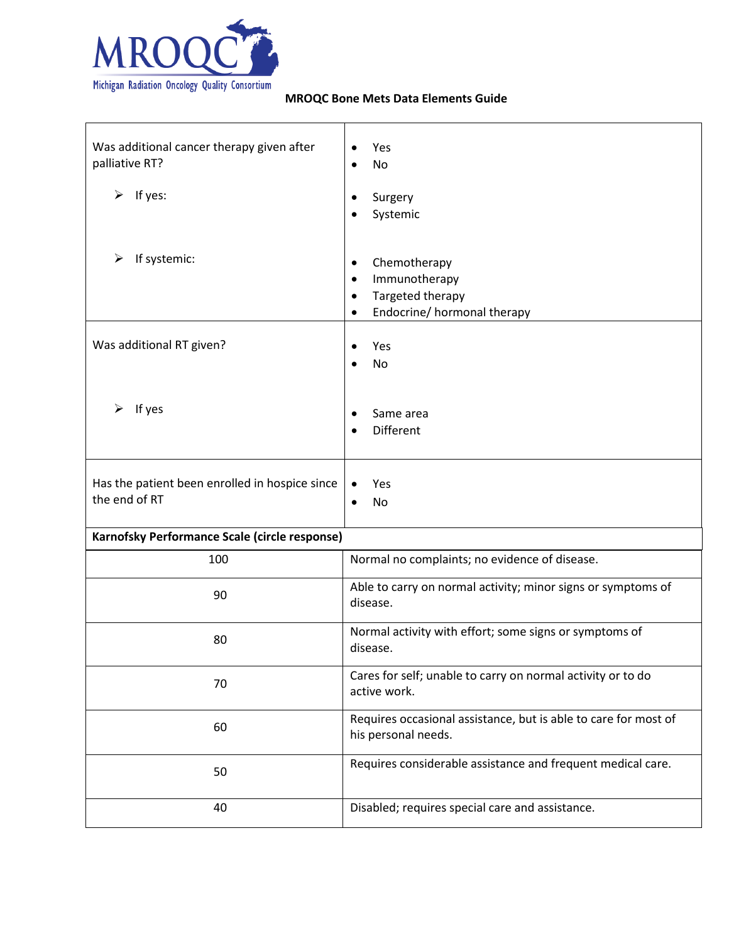

| Was additional cancer therapy given after<br>palliative RT?<br>$\triangleright$ If yes: | Yes<br>٠<br><b>No</b><br>$\bullet$<br>Surgery<br>٠<br>Systemic                                                               |  |
|-----------------------------------------------------------------------------------------|------------------------------------------------------------------------------------------------------------------------------|--|
| If systemic:<br>➤                                                                       | Chemotherapy<br>$\bullet$<br>Immunotherapy<br>$\bullet$<br>Targeted therapy<br>$\bullet$<br>Endocrine/ hormonal therapy<br>٠ |  |
| Was additional RT given?                                                                | Yes<br>No                                                                                                                    |  |
| If yes<br>➤                                                                             | Same area<br>$\epsilon$<br><b>Different</b><br>$\bullet$                                                                     |  |
| Has the patient been enrolled in hospice since<br>the end of RT                         | Yes<br>No<br>$\bullet$                                                                                                       |  |
| Karnofsky Performance Scale (circle response)                                           |                                                                                                                              |  |
| 100                                                                                     | Normal no complaints; no evidence of disease.                                                                                |  |
| 90                                                                                      | Able to carry on normal activity; minor signs or symptoms of<br>disease.                                                     |  |
| 80                                                                                      | Normal activity with effort; some signs or symptoms of<br>disease.                                                           |  |
| 70                                                                                      | Cares for self; unable to carry on normal activity or to do<br>active work.                                                  |  |
| 60                                                                                      | Requires occasional assistance, but is able to care for most of<br>his personal needs.                                       |  |
| 50                                                                                      | Requires considerable assistance and frequent medical care.                                                                  |  |
| 40                                                                                      | Disabled; requires special care and assistance.                                                                              |  |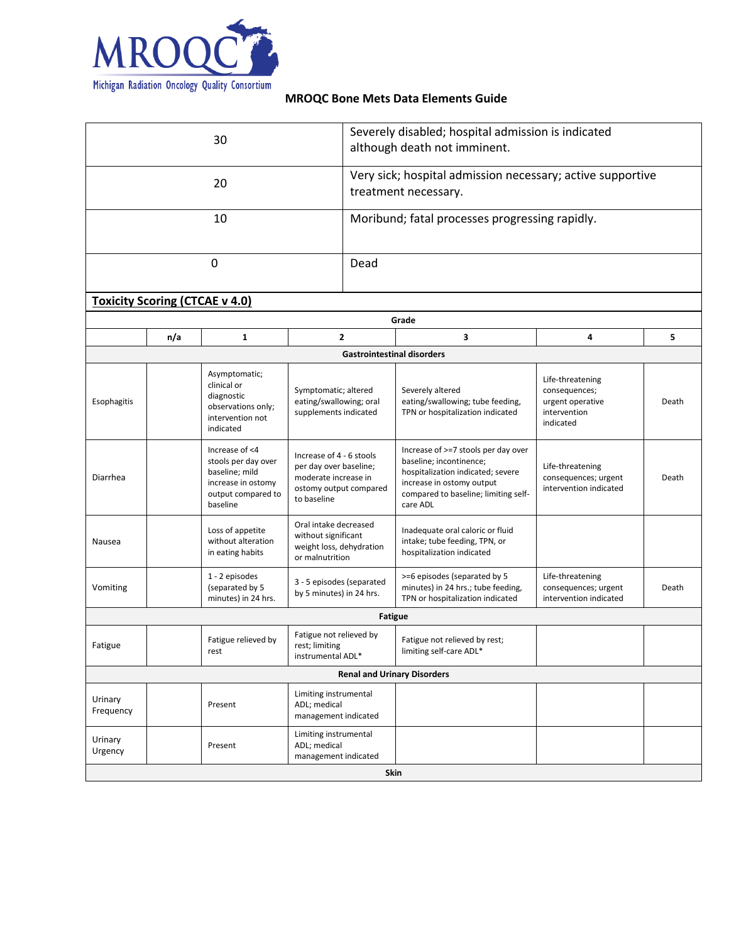

| 30                                    |                                    | Severely disabled; hospital admission is indicated<br>although death not imminent.                              |                                                                                                                     |                                   |                                                                                                                                                                                      |                                                                                    |       |  |
|---------------------------------------|------------------------------------|-----------------------------------------------------------------------------------------------------------------|---------------------------------------------------------------------------------------------------------------------|-----------------------------------|--------------------------------------------------------------------------------------------------------------------------------------------------------------------------------------|------------------------------------------------------------------------------------|-------|--|
| 20                                    |                                    |                                                                                                                 | Very sick; hospital admission necessary; active supportive<br>treatment necessary.                                  |                                   |                                                                                                                                                                                      |                                                                                    |       |  |
|                                       |                                    | 10                                                                                                              |                                                                                                                     |                                   | Moribund; fatal processes progressing rapidly.                                                                                                                                       |                                                                                    |       |  |
|                                       |                                    | 0                                                                                                               |                                                                                                                     | Dead                              |                                                                                                                                                                                      |                                                                                    |       |  |
| <b>Toxicity Scoring (CTCAE v 4.0)</b> |                                    |                                                                                                                 |                                                                                                                     |                                   |                                                                                                                                                                                      |                                                                                    |       |  |
|                                       |                                    |                                                                                                                 |                                                                                                                     |                                   | Grade                                                                                                                                                                                |                                                                                    |       |  |
|                                       | n/a                                | $\mathbf{1}$                                                                                                    |                                                                                                                     | 2                                 | 3                                                                                                                                                                                    | 4                                                                                  | 5     |  |
|                                       |                                    |                                                                                                                 |                                                                                                                     | <b>Gastrointestinal disorders</b> |                                                                                                                                                                                      |                                                                                    |       |  |
| Esophagitis                           |                                    | Asymptomatic;<br>clinical or<br>diagnostic<br>observations only;<br>intervention not<br>indicated               | Symptomatic; altered<br>eating/swallowing; oral<br>supplements indicated                                            |                                   | Severely altered<br>eating/swallowing; tube feeding,<br>TPN or hospitalization indicated                                                                                             | Life-threatening<br>consequences;<br>urgent operative<br>intervention<br>indicated | Death |  |
| Diarrhea                              |                                    | Increase of <4<br>stools per day over<br>baseline; mild<br>increase in ostomy<br>output compared to<br>baseline | Increase of 4 - 6 stools<br>per day over baseline;<br>moderate increase in<br>ostomy output compared<br>to baseline |                                   | Increase of >=7 stools per day over<br>baseline; incontinence;<br>hospitalization indicated; severe<br>increase in ostomy output<br>compared to baseline; limiting self-<br>care ADL | Life-threatening<br>consequences; urgent<br>intervention indicated                 | Death |  |
| Nausea                                |                                    | Loss of appetite<br>without alteration<br>in eating habits                                                      | Oral intake decreased<br>without significant<br>weight loss, dehydration<br>or malnutrition                         |                                   | Inadequate oral caloric or fluid<br>intake; tube feeding, TPN, or<br>hospitalization indicated                                                                                       |                                                                                    |       |  |
| Vomiting                              |                                    | 1 - 2 episodes<br>(separated by 5<br>minutes) in 24 hrs.                                                        | 3 - 5 episodes (separated<br>by 5 minutes) in 24 hrs.                                                               |                                   | >=6 episodes (separated by 5<br>minutes) in 24 hrs.; tube feeding,<br>TPN or hospitalization indicated                                                                               | Life-threatening<br>consequences; urgent<br>intervention indicated                 | Death |  |
| <b>Fatigue</b>                        |                                    |                                                                                                                 |                                                                                                                     |                                   |                                                                                                                                                                                      |                                                                                    |       |  |
| Fatigue                               |                                    | Fatigue relieved by<br>rest                                                                                     | Fatigue not relieved by<br>rest; limiting<br>instrumental ADL*                                                      |                                   | Fatigue not relieved by rest;<br>limiting self-care ADL*                                                                                                                             |                                                                                    |       |  |
|                                       | <b>Renal and Urinary Disorders</b> |                                                                                                                 |                                                                                                                     |                                   |                                                                                                                                                                                      |                                                                                    |       |  |
| Urinary<br>Frequency                  |                                    | Present                                                                                                         | Limiting instrumental<br>ADL; medical<br>management indicated                                                       |                                   |                                                                                                                                                                                      |                                                                                    |       |  |
| Urinary<br>Urgency                    |                                    | Present                                                                                                         | Limiting instrumental<br>ADL; medical<br>management indicated                                                       |                                   |                                                                                                                                                                                      |                                                                                    |       |  |
| Skin                                  |                                    |                                                                                                                 |                                                                                                                     |                                   |                                                                                                                                                                                      |                                                                                    |       |  |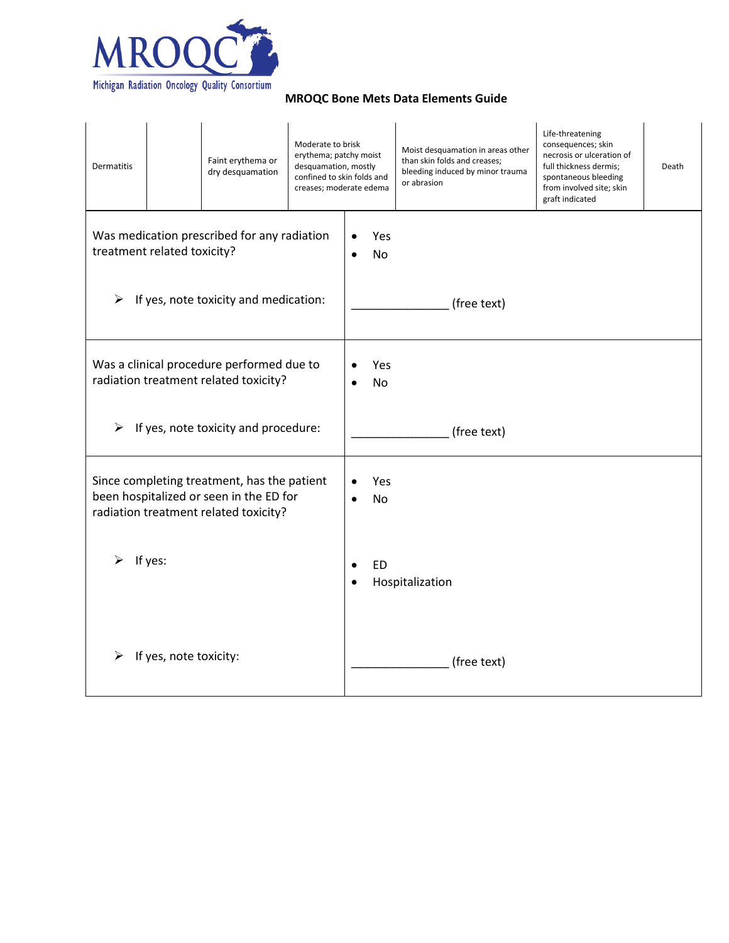

| Dermatitis                                                                                                                                          |                        | Faint erythema or<br>dry desquamation | Moderate to brisk<br>erythema; patchy moist<br>desquamation, mostly<br>confined to skin folds and<br>creases; moderate edema |                        |             | Moist desquamation in areas other<br>than skin folds and creases;<br>bleeding induced by minor trauma<br>or abrasion | Life-threatening<br>consequences; skin<br>necrosis or ulceration of<br>full thickness dermis;<br>spontaneous bleeding<br>from involved site; skin<br>graft indicated | Death |
|-----------------------------------------------------------------------------------------------------------------------------------------------------|------------------------|---------------------------------------|------------------------------------------------------------------------------------------------------------------------------|------------------------|-------------|----------------------------------------------------------------------------------------------------------------------|----------------------------------------------------------------------------------------------------------------------------------------------------------------------|-------|
| Was medication prescribed for any radiation<br>treatment related toxicity?<br>If yes, note toxicity and medication:<br>$\blacktriangleright$        |                        |                                       | $\bullet$                                                                                                                    | Yes<br>No              | (free text) |                                                                                                                      |                                                                                                                                                                      |       |
| Was a clinical procedure performed due to<br>radiation treatment related toxicity?<br>If yes, note toxicity and procedure:<br>$\blacktriangleright$ |                        |                                       |                                                                                                                              | Yes<br>No              | (free text) |                                                                                                                      |                                                                                                                                                                      |       |
| Since completing treatment, has the patient<br>been hospitalized or seen in the ED for<br>radiation treatment related toxicity?                     |                        | $\bullet$                             | Yes<br><b>No</b>                                                                                                             |                        |             |                                                                                                                      |                                                                                                                                                                      |       |
|                                                                                                                                                     | If yes:                |                                       |                                                                                                                              | $\bullet$<br>$\bullet$ | <b>ED</b>   | Hospitalization                                                                                                      |                                                                                                                                                                      |       |
|                                                                                                                                                     | If yes, note toxicity: |                                       |                                                                                                                              |                        |             | (free text)                                                                                                          |                                                                                                                                                                      |       |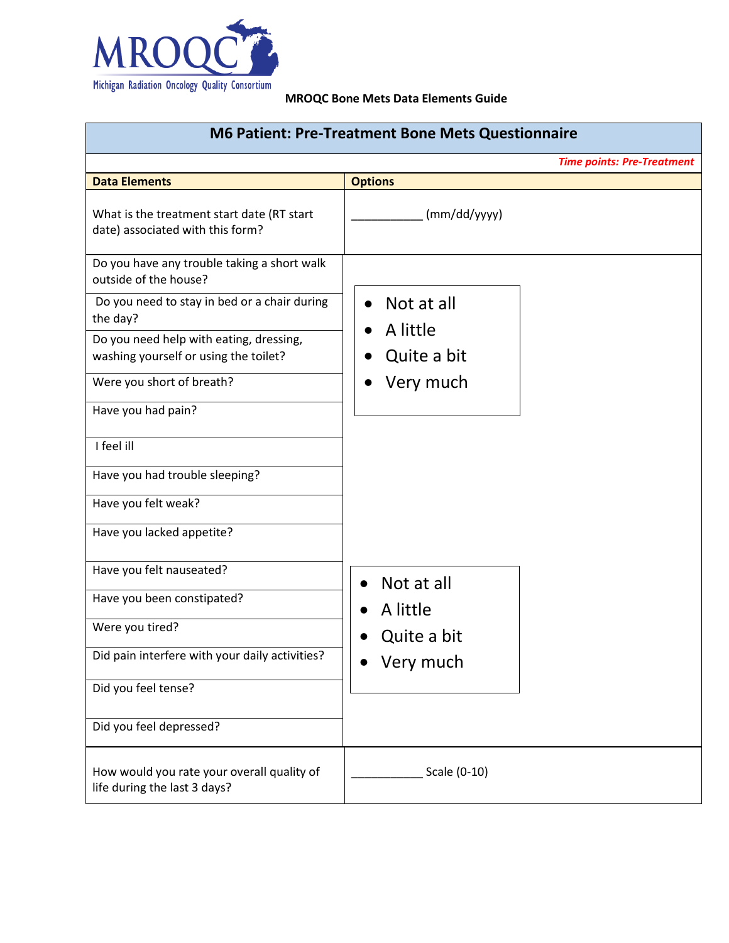

| <b>M6 Patient: Pre-Treatment Bone Mets Questionnaire</b>                       |                |                                   |
|--------------------------------------------------------------------------------|----------------|-----------------------------------|
|                                                                                |                | <b>Time points: Pre-Treatment</b> |
| <b>Data Elements</b>                                                           | <b>Options</b> |                                   |
| What is the treatment start date (RT start<br>date) associated with this form? | (mm/dd/yyyy)   |                                   |
| Do you have any trouble taking a short walk<br>outside of the house?           |                |                                   |
| Do you need to stay in bed or a chair during<br>the day?                       | Not at all     |                                   |
| Do you need help with eating, dressing,                                        | A little       |                                   |
| washing yourself or using the toilet?                                          | Quite a bit    |                                   |
| Were you short of breath?                                                      | Very much      |                                   |
| Have you had pain?                                                             |                |                                   |
| I feel ill                                                                     |                |                                   |
| Have you had trouble sleeping?                                                 |                |                                   |
| Have you felt weak?                                                            |                |                                   |
| Have you lacked appetite?                                                      |                |                                   |
| Have you felt nauseated?                                                       | Not at all     |                                   |
| Have you been constipated?                                                     | A little       |                                   |
| Were you tired?                                                                | Quite a bit    |                                   |
| Did pain interfere with your daily activities?                                 | Very much      |                                   |
| Did you feel tense?                                                            |                |                                   |
| Did you feel depressed?                                                        |                |                                   |
| How would you rate your overall quality of<br>life during the last 3 days?     | Scale (0-10)   |                                   |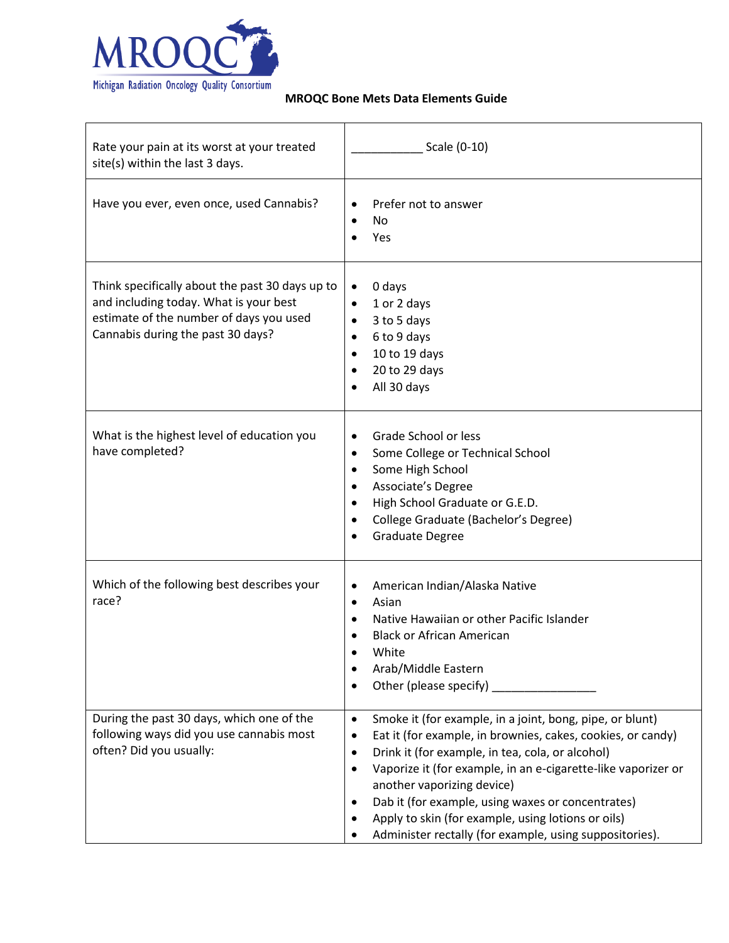

| Rate your pain at its worst at your treated<br>site(s) within the last 3 days.                                                                                            | Scale (0-10)                                                                                                                                                                                                                                                                                                                                                                                                                                                                                 |
|---------------------------------------------------------------------------------------------------------------------------------------------------------------------------|----------------------------------------------------------------------------------------------------------------------------------------------------------------------------------------------------------------------------------------------------------------------------------------------------------------------------------------------------------------------------------------------------------------------------------------------------------------------------------------------|
| Have you ever, even once, used Cannabis?                                                                                                                                  | Prefer not to answer<br>$\bullet$<br>No.<br>Yes                                                                                                                                                                                                                                                                                                                                                                                                                                              |
| Think specifically about the past 30 days up to<br>and including today. What is your best<br>estimate of the number of days you used<br>Cannabis during the past 30 days? | 0 days<br>1 or 2 days<br>$\bullet$<br>3 to 5 days<br>$\bullet$<br>6 to 9 days<br>$\bullet$<br>10 to 19 days<br>$\bullet$<br>20 to 29 days<br>All 30 days                                                                                                                                                                                                                                                                                                                                     |
| What is the highest level of education you<br>have completed?                                                                                                             | Grade School or less<br>Some College or Technical School<br>$\bullet$<br>Some High School<br>$\bullet$<br>Associate's Degree<br>٠<br>High School Graduate or G.E.D.<br>College Graduate (Bachelor's Degree)<br>$\bullet$<br><b>Graduate Degree</b>                                                                                                                                                                                                                                           |
| Which of the following best describes your<br>race?                                                                                                                       | American Indian/Alaska Native<br>٠<br>Asian<br>$\bullet$<br>Native Hawaiian or other Pacific Islander<br><b>Black or African American</b><br>White<br>Arab/Middle Eastern<br>٠<br>٠                                                                                                                                                                                                                                                                                                          |
| During the past 30 days, which one of the<br>following ways did you use cannabis most<br>often? Did you usually:                                                          | Smoke it (for example, in a joint, bong, pipe, or blunt)<br>$\bullet$<br>Eat it (for example, in brownies, cakes, cookies, or candy)<br>٠<br>Drink it (for example, in tea, cola, or alcohol)<br>$\bullet$<br>Vaporize it (for example, in an e-cigarette-like vaporizer or<br>$\bullet$<br>another vaporizing device)<br>Dab it (for example, using waxes or concentrates)<br>Apply to skin (for example, using lotions or oils)<br>Administer rectally (for example, using suppositories). |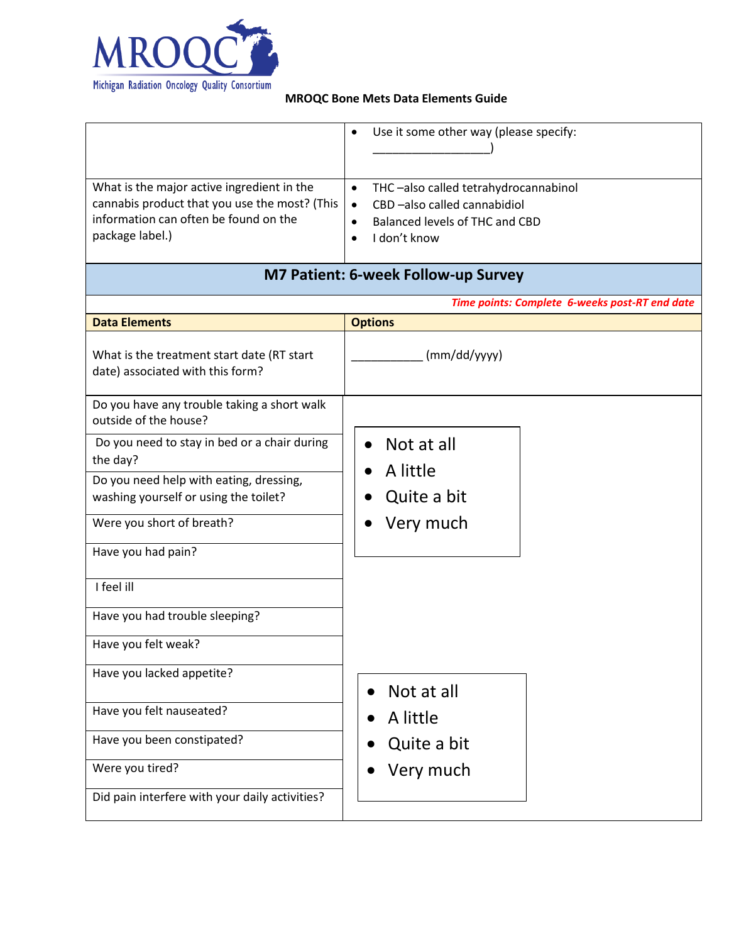

|                                                                                | Use it some other way (please specify:<br>$\bullet$ |
|--------------------------------------------------------------------------------|-----------------------------------------------------|
|                                                                                |                                                     |
|                                                                                |                                                     |
| What is the major active ingredient in the                                     | THC-also called tetrahydrocannabinol<br>$\bullet$   |
| cannabis product that you use the most? (This                                  | CBD-also called cannabidiol<br>$\bullet$            |
| information can often be found on the                                          | Balanced levels of THC and CBD<br>$\bullet$         |
| package label.)                                                                | I don't know<br>$\bullet$                           |
|                                                                                | <b>M7 Patient: 6-week Follow-up Survey</b>          |
|                                                                                | Time points: Complete 6-weeks post-RT end date      |
| <b>Data Elements</b>                                                           | <b>Options</b>                                      |
| What is the treatment start date (RT start<br>date) associated with this form? | (mm/dd/yyyy)                                        |
| Do you have any trouble taking a short walk<br>outside of the house?           |                                                     |
| Do you need to stay in bed or a chair during<br>the day?                       | Not at all                                          |
| Do you need help with eating, dressing,                                        | A little                                            |
| washing yourself or using the toilet?                                          | Quite a bit                                         |
| Were you short of breath?                                                      | Very much                                           |
| Have you had pain?                                                             |                                                     |
| I feel ill                                                                     |                                                     |
| Have you had trouble sleeping?                                                 |                                                     |
| Have you felt weak?                                                            |                                                     |
| Have you lacked appetite?                                                      | Not at all<br>$\bullet$                             |
| Have you felt nauseated?                                                       | A little                                            |
| Have you been constipated?                                                     | Quite a bit                                         |
| Were you tired?                                                                | Very much                                           |
| Did pain interfere with your daily activities?                                 |                                                     |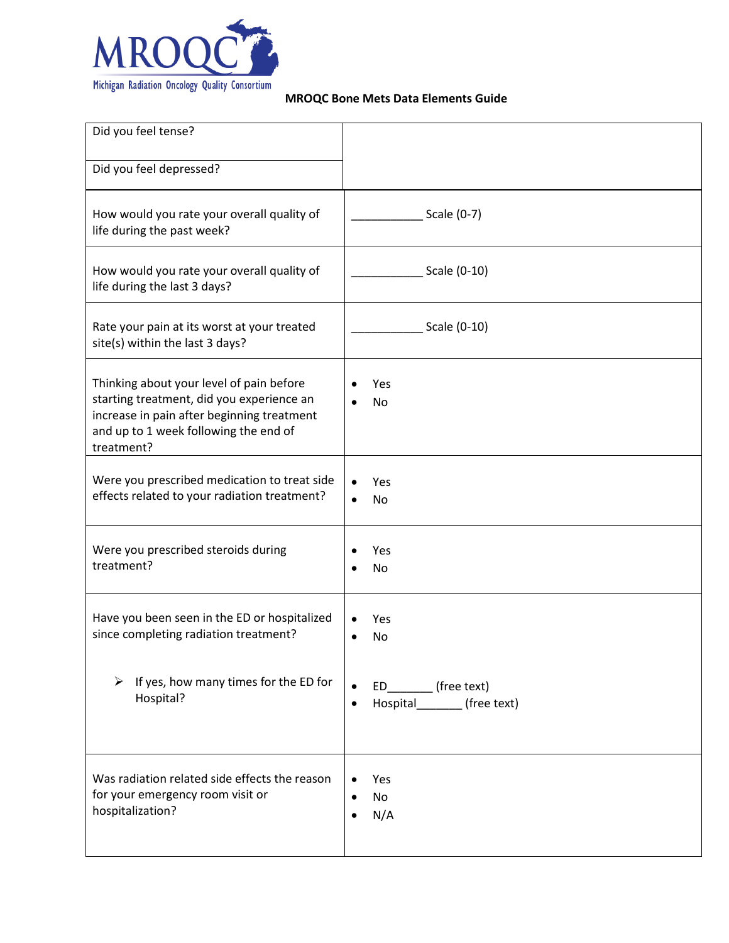

| Did you feel tense?                                                                                                                                                                        |                                                                |
|--------------------------------------------------------------------------------------------------------------------------------------------------------------------------------------------|----------------------------------------------------------------|
| Did you feel depressed?                                                                                                                                                                    |                                                                |
| How would you rate your overall quality of<br>life during the past week?                                                                                                                   | Scale (0-7)                                                    |
| How would you rate your overall quality of<br>life during the last 3 days?                                                                                                                 | Scale (0-10)                                                   |
| Rate your pain at its worst at your treated<br>site(s) within the last 3 days?                                                                                                             | Scale (0-10)                                                   |
| Thinking about your level of pain before<br>starting treatment, did you experience an<br>increase in pain after beginning treatment<br>and up to 1 week following the end of<br>treatment? | Yes<br>No                                                      |
| Were you prescribed medication to treat side<br>effects related to your radiation treatment?                                                                                               | Yes<br>$\bullet$<br>No                                         |
| Were you prescribed steroids during<br>treatment?                                                                                                                                          | Yes<br>No                                                      |
| Have you been seen in the ED or hospitalized<br>since completing radiation treatment?                                                                                                      | Yes<br>No                                                      |
| If yes, how many times for the ED for<br>➤<br>Hospital?                                                                                                                                    | ED (free text)<br>Hospital___________ (free text)<br>$\bullet$ |
| Was radiation related side effects the reason<br>for your emergency room visit or<br>hospitalization?                                                                                      | Yes<br>No<br>N/A                                               |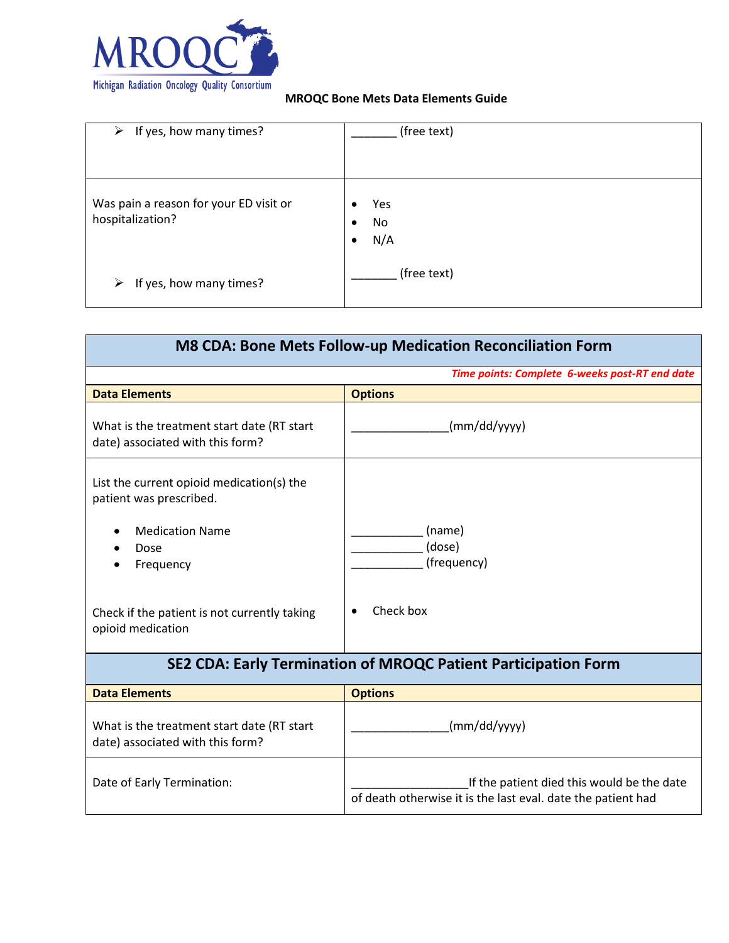

| $\triangleright$ If yes, how many times?                   | (free text)                                     |
|------------------------------------------------------------|-------------------------------------------------|
| Was pain a reason for your ED visit or<br>hospitalization? | Yes<br>٠<br>No<br>$\bullet$<br>N/A<br>$\bullet$ |
| If yes, how many times?<br>➤                               | (free text)                                     |

| <b>M8 CDA: Bone Mets Follow-up Medication Reconciliation Form</b>              |                                                                                                            |  |
|--------------------------------------------------------------------------------|------------------------------------------------------------------------------------------------------------|--|
| Time points: Complete 6-weeks post-RT end date                                 |                                                                                                            |  |
| <b>Data Elements</b>                                                           | <b>Options</b>                                                                                             |  |
| What is the treatment start date (RT start<br>date) associated with this form? | (mm/dd/yyyy)                                                                                               |  |
| List the current opioid medication(s) the<br>patient was prescribed.           |                                                                                                            |  |
| <b>Medication Name</b><br>Dose<br>Frequency                                    | (name)<br>(dose)<br>(frequency)                                                                            |  |
| Check if the patient is not currently taking<br>opioid medication              | Check box                                                                                                  |  |
| SE2 CDA: Early Termination of MROQC Patient Participation Form                 |                                                                                                            |  |
| <b>Data Elements</b>                                                           | <b>Options</b>                                                                                             |  |
| What is the treatment start date (RT start<br>date) associated with this form? | (mm/dd/yyyy)                                                                                               |  |
| Date of Early Termination:                                                     | If the patient died this would be the date<br>of death otherwise it is the last eval. date the patient had |  |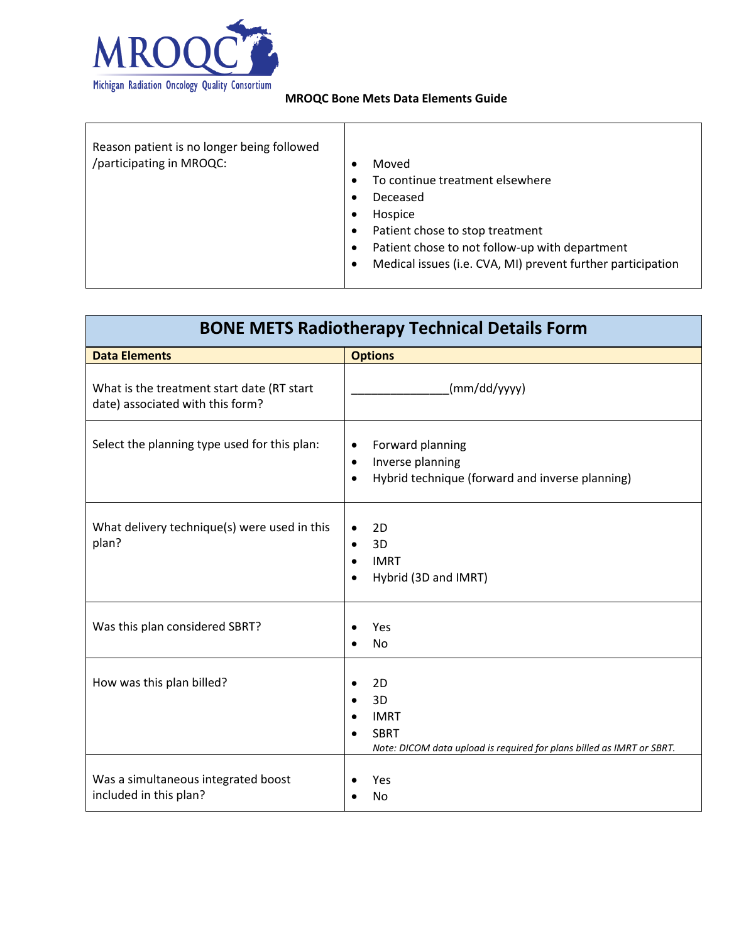

| Reason patient is no longer being followed<br>/participating in MROQC: | Moved<br>$\bullet$<br>To continue treatment elsewhere<br>$\bullet$<br>Deceased<br>$\bullet$<br>Hospice<br>$\bullet$<br>Patient chose to stop treatment<br>٠<br>Patient chose to not follow-up with department<br>$\bullet$<br>Medical issues (i.e. CVA, MI) prevent further participation<br>$\bullet$ |
|------------------------------------------------------------------------|--------------------------------------------------------------------------------------------------------------------------------------------------------------------------------------------------------------------------------------------------------------------------------------------------------|
|                                                                        |                                                                                                                                                                                                                                                                                                        |

| <b>BONE METS Radiotherapy Technical Details Form</b>                           |                                                                                                                                |  |
|--------------------------------------------------------------------------------|--------------------------------------------------------------------------------------------------------------------------------|--|
| <b>Data Elements</b>                                                           | <b>Options</b>                                                                                                                 |  |
| What is the treatment start date (RT start<br>date) associated with this form? | (mm/dd/yyyy)                                                                                                                   |  |
| Select the planning type used for this plan:                                   | Forward planning<br>$\bullet$<br>Inverse planning<br>$\bullet$<br>Hybrid technique (forward and inverse planning)<br>$\bullet$ |  |
| What delivery technique(s) were used in this<br>plan?                          | 2D<br>3D<br>$\bullet$<br><b>IMRT</b><br>$\bullet$<br>Hybrid (3D and IMRT)<br>$\bullet$                                         |  |
| Was this plan considered SBRT?                                                 | Yes<br>No                                                                                                                      |  |
| How was this plan billed?                                                      | 2D<br>3D<br><b>IMRT</b><br><b>SBRT</b><br>Note: DICOM data upload is required for plans billed as IMRT or SBRT.                |  |
| Was a simultaneous integrated boost<br>included in this plan?                  | Yes<br>No                                                                                                                      |  |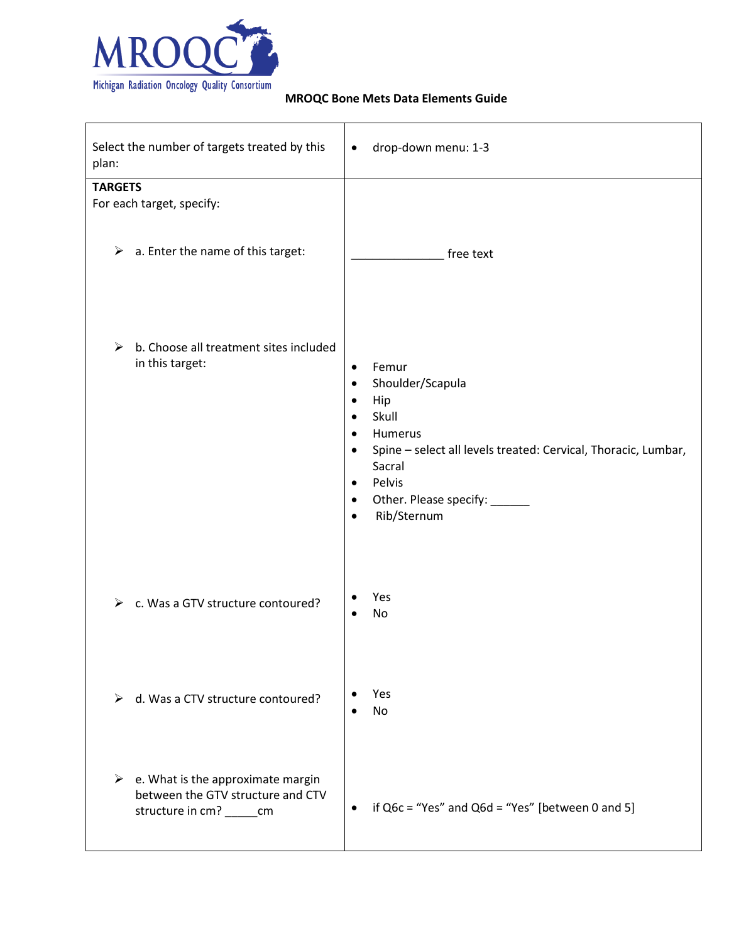

| Select the number of targets treated by this<br>plan:                                                     | drop-down menu: 1-3<br>$\bullet$                                                                                                                                                                                                                                                                |
|-----------------------------------------------------------------------------------------------------------|-------------------------------------------------------------------------------------------------------------------------------------------------------------------------------------------------------------------------------------------------------------------------------------------------|
| <b>TARGETS</b><br>For each target, specify:                                                               |                                                                                                                                                                                                                                                                                                 |
| a. Enter the name of this target:<br>➤                                                                    | free text                                                                                                                                                                                                                                                                                       |
| b. Choose all treatment sites included<br>➤<br>in this target:                                            | Femur<br>$\bullet$<br>Shoulder/Scapula<br>$\bullet$<br>Hip<br>٠<br>Skull<br>$\bullet$<br>Humerus<br>$\bullet$<br>Spine - select all levels treated: Cervical, Thoracic, Lumbar,<br>$\bullet$<br>Sacral<br>Pelvis<br>$\bullet$<br>Other. Please specify: ______<br>٠<br>Rib/Sternum<br>$\bullet$ |
| c. Was a GTV structure contoured?<br>⋗                                                                    | Yes<br>No                                                                                                                                                                                                                                                                                       |
| d. Was a CTV structure contoured?                                                                         | Yes<br>No                                                                                                                                                                                                                                                                                       |
| e. What is the approximate margin<br>➤<br>between the GTV structure and CTV<br>structure in cm? ______ cm | if $Q6c$ = "Yes" and $Q6d$ = "Yes" [between 0 and 5]<br>$\bullet$                                                                                                                                                                                                                               |